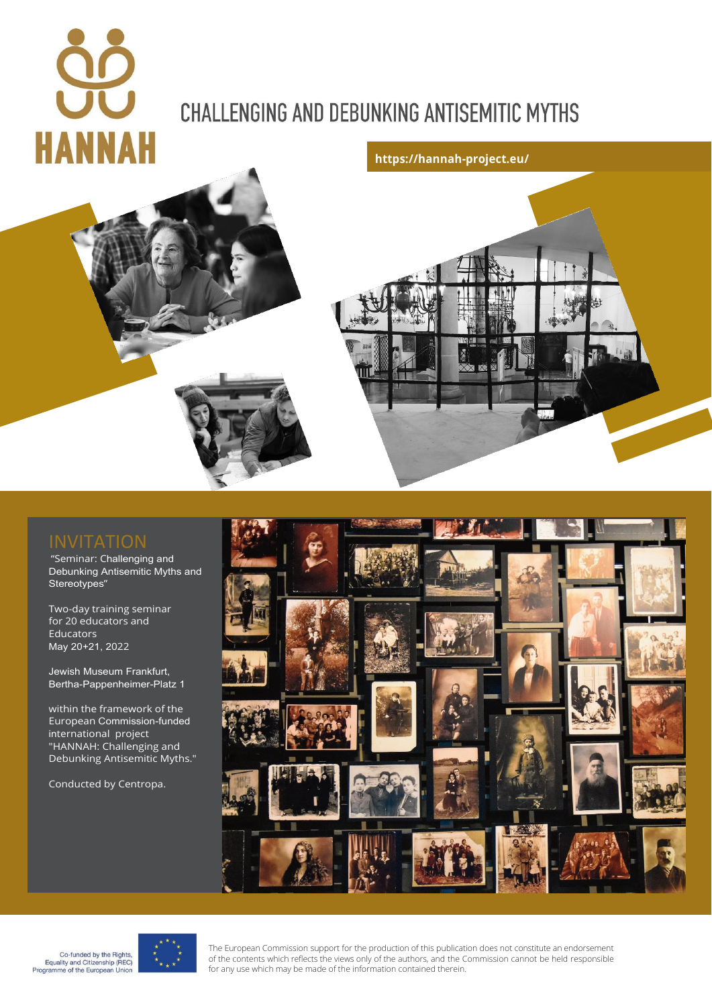# **HANNAH**

# **CHALLENGING AND DEBUNKING ANTISEMITIC MYTHS**





"Seminar: Challenging and Debunking Antisemitic Myths and Stereotypes"

Two-day training seminar for 20 educators and Educators May 20+21, 2022

Jewish Museum Frankfurt, Bertha-Pappenheimer-Platz 1

within the framework of the European Commission-funded international project "HANNAH: Challenging and Debunking Antisemitic Myths."

Conducted by Centropa.







The European Commission support for the production of this publication does not constitute an endorsement of the contents which reflects the views only of the authors, and the Commission cannot be held responsible for any use which may be made of the information contained therein.